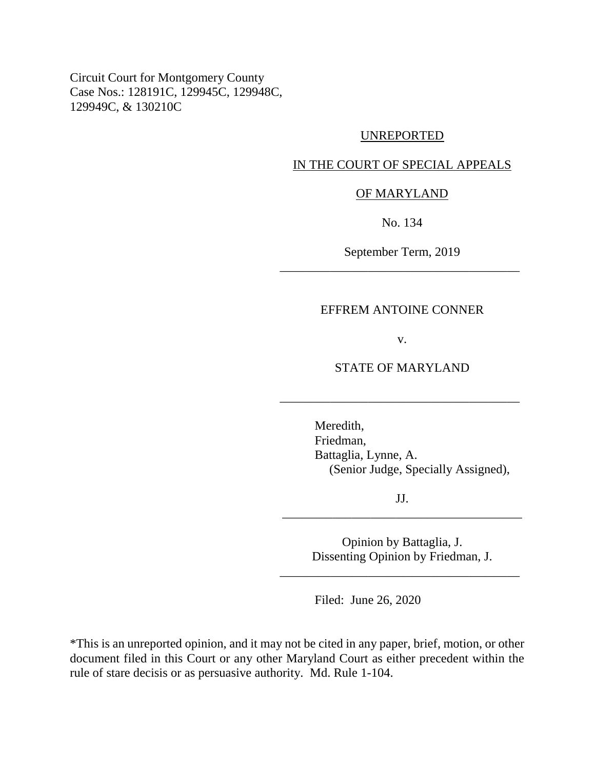Circuit Court for Montgomery County Case Nos.: 128191C, 129945C, 129948C, 129949C, & 130210C

### UNREPORTED

# IN THE COURT OF SPECIAL APPEALS

### OF MARYLAND

No. 134

September Term, 2019 \_\_\_\_\_\_\_\_\_\_\_\_\_\_\_\_\_\_\_\_\_\_\_\_\_\_\_\_\_\_\_\_\_\_\_\_\_\_

### EFFREM ANTOINE CONNER

v.

## STATE OF MARYLAND

\_\_\_\_\_\_\_\_\_\_\_\_\_\_\_\_\_\_\_\_\_\_\_\_\_\_\_\_\_\_\_\_\_\_\_\_\_\_

Meredith, Friedman, Battaglia, Lynne, A. (Senior Judge, Specially Assigned),

JJ. \_\_\_\_\_\_\_\_\_\_\_\_\_\_\_\_\_\_\_\_\_\_\_\_\_\_\_\_\_\_\_\_\_\_\_\_\_\_

> Opinion by Battaglia, J. Dissenting Opinion by Friedman, J.

\_\_\_\_\_\_\_\_\_\_\_\_\_\_\_\_\_\_\_\_\_\_\_\_\_\_\_\_\_\_\_\_\_\_\_\_\_\_

Filed: June 26, 2020

\*This is an unreported opinion, and it may not be cited in any paper, brief, motion, or other document filed in this Court or any other Maryland Court as either precedent within the rule of stare decisis or as persuasive authority. Md. Rule 1-104.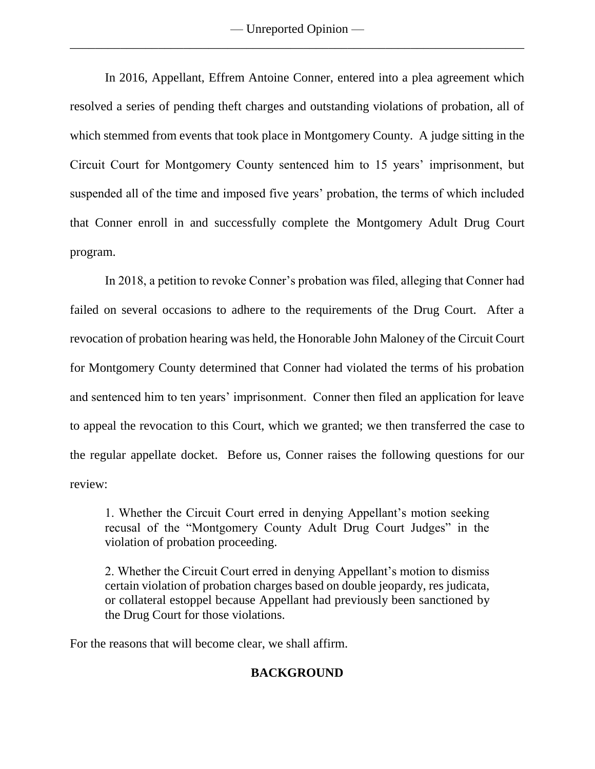— Unreported Opinion — \_\_\_\_\_\_\_\_\_\_\_\_\_\_\_\_\_\_\_\_\_\_\_\_\_\_\_\_\_\_\_\_\_\_\_\_\_\_\_\_\_\_\_\_\_\_\_\_\_\_\_\_\_\_\_\_\_\_\_\_\_\_\_\_\_\_\_\_\_\_\_\_

In 2016, Appellant, Effrem Antoine Conner, entered into a plea agreement which resolved a series of pending theft charges and outstanding violations of probation, all of which stemmed from events that took place in Montgomery County. A judge sitting in the Circuit Court for Montgomery County sentenced him to 15 years' imprisonment, but suspended all of the time and imposed five years' probation, the terms of which included that Conner enroll in and successfully complete the Montgomery Adult Drug Court program.

In 2018, a petition to revoke Conner's probation was filed, alleging that Conner had failed on several occasions to adhere to the requirements of the Drug Court. After a revocation of probation hearing was held, the Honorable John Maloney of the Circuit Court for Montgomery County determined that Conner had violated the terms of his probation and sentenced him to ten years' imprisonment. Conner then filed an application for leave to appeal the revocation to this Court, which we granted; we then transferred the case to the regular appellate docket. Before us, Conner raises the following questions for our review:

1. Whether the Circuit Court erred in denying Appellant's motion seeking recusal of the "Montgomery County Adult Drug Court Judges" in the violation of probation proceeding.

2. Whether the Circuit Court erred in denying Appellant's motion to dismiss certain violation of probation charges based on double jeopardy, res judicata, or collateral estoppel because Appellant had previously been sanctioned by the Drug Court for those violations.

For the reasons that will become clear, we shall affirm.

# **BACKGROUND**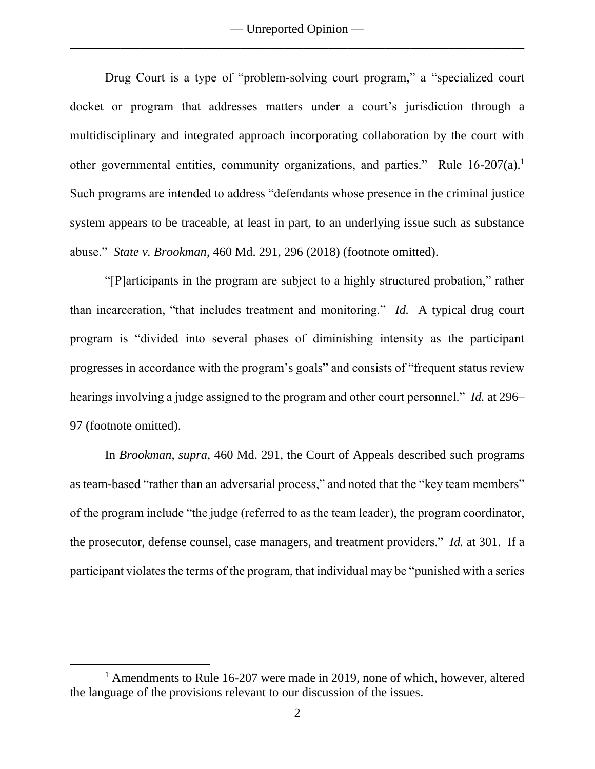Drug Court is a type of "problem-solving court program," a "specialized court docket or program that addresses matters under a court's jurisdiction through a multidisciplinary and integrated approach incorporating collaboration by the court with other governmental entities, community organizations, and parties." Rule 16-207(a).<sup>1</sup> Such programs are intended to address "defendants whose presence in the criminal justice system appears to be traceable, at least in part, to an underlying issue such as substance abuse." *State v. Brookman*, 460 Md. 291, 296 (2018) (footnote omitted).

"[P]articipants in the program are subject to a highly structured probation," rather than incarceration, "that includes treatment and monitoring." *Id.* A typical drug court program is "divided into several phases of diminishing intensity as the participant progresses in accordance with the program's goals" and consists of "frequent status review hearings involving a judge assigned to the program and other court personnel." *Id.* at 296– 97 (footnote omitted).

In *Brookman*, *supra*, 460 Md. 291, the Court of Appeals described such programs as team-based "rather than an adversarial process," and noted that the "key team members" of the program include "the judge (referred to as the team leader), the program coordinator, the prosecutor, defense counsel, case managers, and treatment providers." *Id.* at 301. If a participant violates the terms of the program, that individual may be "punished with a series

<sup>&</sup>lt;sup>1</sup> Amendments to Rule 16-207 were made in 2019, none of which, however, altered the language of the provisions relevant to our discussion of the issues.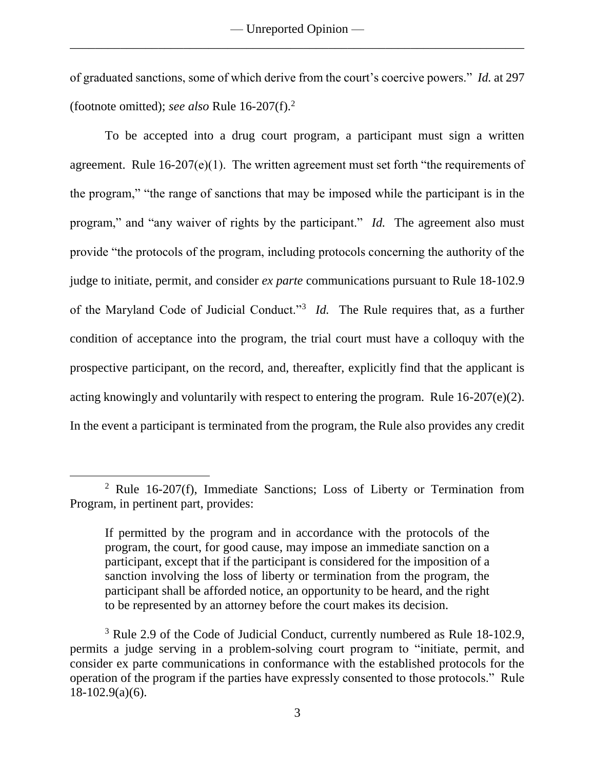of graduated sanctions, some of which derive from the court's coercive powers." *Id.* at 297 (footnote omitted); *see also* Rule 16-207(f).<sup>2</sup>

To be accepted into a drug court program, a participant must sign a written agreement. Rule  $16-207(e)(1)$ . The written agreement must set forth "the requirements of the program," "the range of sanctions that may be imposed while the participant is in the program," and "any waiver of rights by the participant." *Id.* The agreement also must provide "the protocols of the program, including protocols concerning the authority of the judge to initiate, permit, and consider *ex parte* communications pursuant to Rule 18-102.9 of the Maryland Code of Judicial Conduct."<sup>3</sup> *Id.* The Rule requires that, as a further condition of acceptance into the program, the trial court must have a colloquy with the prospective participant, on the record, and, thereafter, explicitly find that the applicant is acting knowingly and voluntarily with respect to entering the program. Rule 16-207(e)(2). In the event a participant is terminated from the program, the Rule also provides any credit

<sup>2</sup> Rule 16-207(f), Immediate Sanctions; Loss of Liberty or Termination from Program, in pertinent part, provides:

If permitted by the program and in accordance with the protocols of the program, the court, for good cause, may impose an immediate sanction on a participant, except that if the participant is considered for the imposition of a sanction involving the loss of liberty or termination from the program, the participant shall be afforded notice, an opportunity to be heard, and the right to be represented by an attorney before the court makes its decision.

<sup>&</sup>lt;sup>3</sup> Rule 2.9 of the Code of Judicial Conduct, currently numbered as Rule 18-102.9, permits a judge serving in a problem-solving court program to "initiate, permit, and consider ex parte communications in conformance with the established protocols for the operation of the program if the parties have expressly consented to those protocols." Rule 18-102.9(a)(6).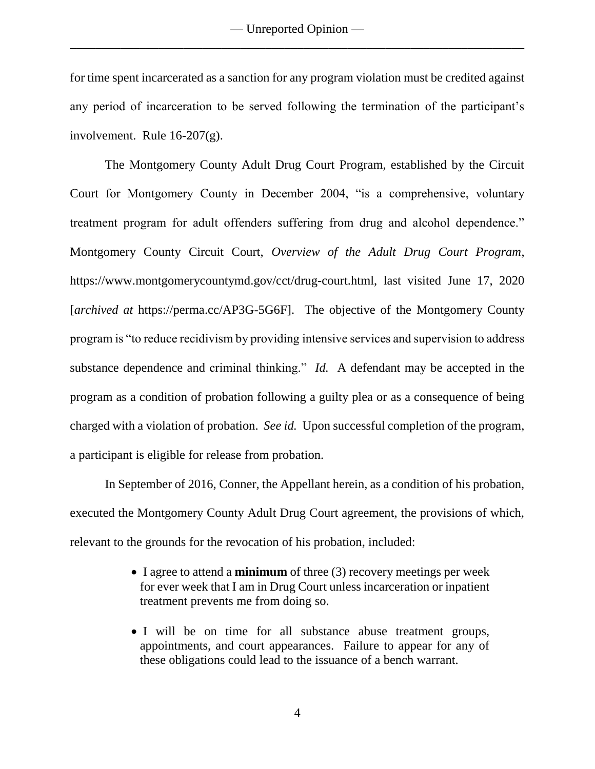— Unreported Opinion — \_\_\_\_\_\_\_\_\_\_\_\_\_\_\_\_\_\_\_\_\_\_\_\_\_\_\_\_\_\_\_\_\_\_\_\_\_\_\_\_\_\_\_\_\_\_\_\_\_\_\_\_\_\_\_\_\_\_\_\_\_\_\_\_\_\_\_\_\_\_\_\_

for time spent incarcerated as a sanction for any program violation must be credited against any period of incarceration to be served following the termination of the participant's involvement. Rule 16-207(g).

The Montgomery County Adult Drug Court Program, established by the Circuit Court for Montgomery County in December 2004, "is a comprehensive, voluntary treatment program for adult offenders suffering from drug and alcohol dependence." Montgomery County Circuit Court, *Overview of the Adult Drug Court Program*, https://www.montgomerycountymd.gov/cct/drug-court.html, last visited June 17, 2020 [*archived at* https://perma.cc/AP3G-5G6F]. The objective of the Montgomery County program is "to reduce recidivism by providing intensive services and supervision to address substance dependence and criminal thinking." *Id.* A defendant may be accepted in the program as a condition of probation following a guilty plea or as a consequence of being charged with a violation of probation. *See id.* Upon successful completion of the program, a participant is eligible for release from probation.

In September of 2016, Conner, the Appellant herein, as a condition of his probation, executed the Montgomery County Adult Drug Court agreement, the provisions of which, relevant to the grounds for the revocation of his probation, included:

- I agree to attend a **minimum** of three (3) recovery meetings per week for ever week that I am in Drug Court unless incarceration or inpatient treatment prevents me from doing so.
- I will be on time for all substance abuse treatment groups, appointments, and court appearances. Failure to appear for any of these obligations could lead to the issuance of a bench warrant.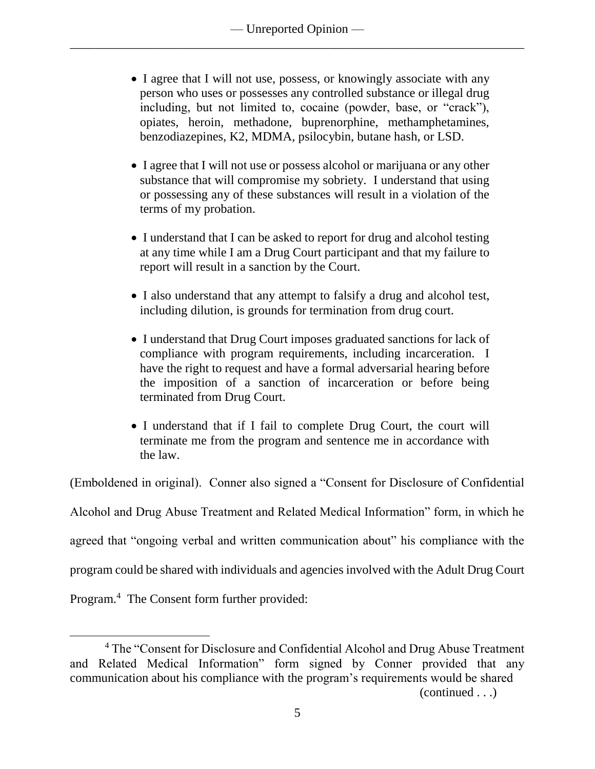- I agree that I will not use, possess, or knowingly associate with any person who uses or possesses any controlled substance or illegal drug including, but not limited to, cocaine (powder, base, or "crack"), opiates, heroin, methadone, buprenorphine, methamphetamines, benzodiazepines, K2, MDMA, psilocybin, butane hash, or LSD.
- I agree that I will not use or possess alcohol or marijuana or any other substance that will compromise my sobriety. I understand that using or possessing any of these substances will result in a violation of the terms of my probation.
- I understand that I can be asked to report for drug and alcohol testing at any time while I am a Drug Court participant and that my failure to report will result in a sanction by the Court.
- I also understand that any attempt to falsify a drug and alcohol test, including dilution, is grounds for termination from drug court.
- I understand that Drug Court imposes graduated sanctions for lack of compliance with program requirements, including incarceration. I have the right to request and have a formal adversarial hearing before the imposition of a sanction of incarceration or before being terminated from Drug Court.
- I understand that if I fail to complete Drug Court, the court will terminate me from the program and sentence me in accordance with the law.

(Emboldened in original). Conner also signed a "Consent for Disclosure of Confidential Alcohol and Drug Abuse Treatment and Related Medical Information" form, in which he agreed that "ongoing verbal and written communication about" his compliance with the program could be shared with individuals and agencies involved with the Adult Drug Court Program.<sup>4</sup> The Consent form further provided:

 $\overline{a}$ 

(continued . . .)

<sup>&</sup>lt;sup>4</sup> The "Consent for Disclosure and Confidential Alcohol and Drug Abuse Treatment and Related Medical Information" form signed by Conner provided that any communication about his compliance with the program's requirements would be shared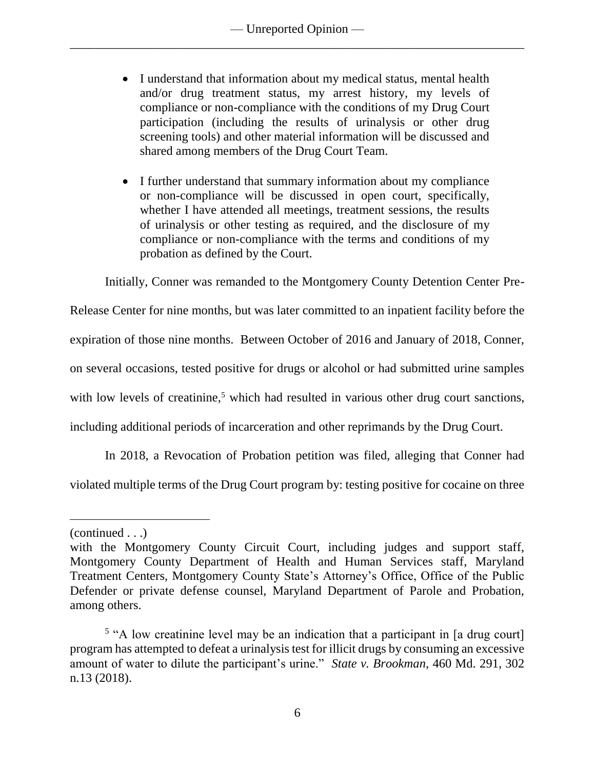- I understand that information about my medical status, mental health and/or drug treatment status, my arrest history, my levels of compliance or non-compliance with the conditions of my Drug Court participation (including the results of urinalysis or other drug screening tools) and other material information will be discussed and shared among members of the Drug Court Team.
- I further understand that summary information about my compliance or non-compliance will be discussed in open court, specifically, whether I have attended all meetings, treatment sessions, the results of urinalysis or other testing as required, and the disclosure of my compliance or non-compliance with the terms and conditions of my probation as defined by the Court.

Initially, Conner was remanded to the Montgomery County Detention Center Pre-

Release Center for nine months, but was later committed to an inpatient facility before the

expiration of those nine months. Between October of 2016 and January of 2018, Conner,

on several occasions, tested positive for drugs or alcohol or had submitted urine samples

with low levels of creatinine,<sup>5</sup> which had resulted in various other drug court sanctions,

including additional periods of incarceration and other reprimands by the Drug Court.

In 2018, a Revocation of Probation petition was filed, alleging that Conner had

violated multiple terms of the Drug Court program by: testing positive for cocaine on three

<sup>(</sup>continued . . .)

with the Montgomery County Circuit Court, including judges and support staff, Montgomery County Department of Health and Human Services staff, Maryland Treatment Centers, Montgomery County State's Attorney's Office, Office of the Public Defender or private defense counsel, Maryland Department of Parole and Probation, among others.

<sup>&</sup>lt;sup>5</sup> "A low creatinine level may be an indication that a participant in [a drug court] program has attempted to defeat a urinalysis test for illicit drugs by consuming an excessive amount of water to dilute the participant's urine." *State v. Brookman*, 460 Md. 291, 302 n.13 (2018).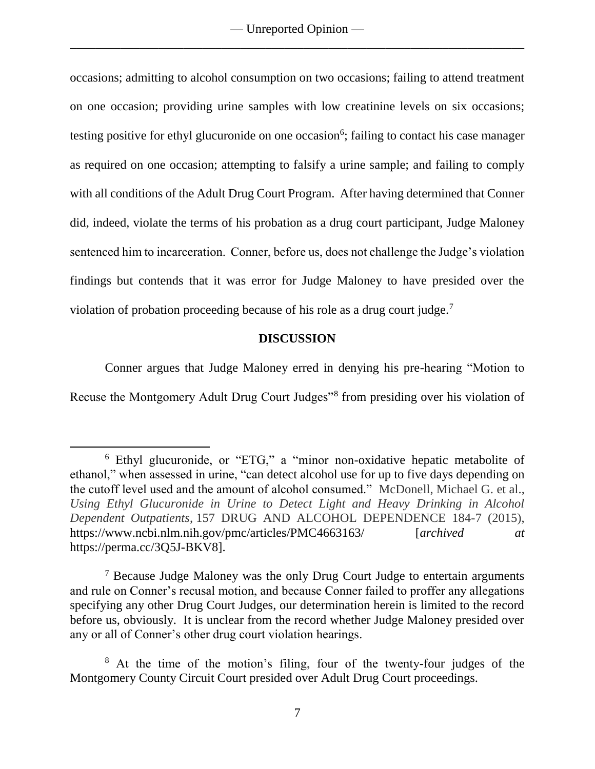occasions; admitting to alcohol consumption on two occasions; failing to attend treatment on one occasion; providing urine samples with low creatinine levels on six occasions; testing positive for ethyl glucuronide on one occasion<sup>6</sup>; failing to contact his case manager as required on one occasion; attempting to falsify a urine sample; and failing to comply with all conditions of the Adult Drug Court Program. After having determined that Conner did, indeed, violate the terms of his probation as a drug court participant, Judge Maloney sentenced him to incarceration. Conner, before us, does not challenge the Judge's violation findings but contends that it was error for Judge Maloney to have presided over the violation of probation proceeding because of his role as a drug court judge.<sup>7</sup>

# **DISCUSSION**

Conner argues that Judge Maloney erred in denying his pre-hearing "Motion to Recuse the Montgomery Adult Drug Court Judges"<sup>8</sup> from presiding over his violation of

 $\overline{a}$ 

 $<sup>7</sup>$  Because Judge Maloney was the only Drug Court Judge to entertain arguments</sup> and rule on Conner's recusal motion, and because Conner failed to proffer any allegations specifying any other Drug Court Judges, our determination herein is limited to the record before us, obviously. It is unclear from the record whether Judge Maloney presided over any or all of Conner's other drug court violation hearings.

<sup>6</sup> Ethyl glucuronide, or "ETG," a "minor non-oxidative hepatic metabolite of ethanol," when assessed in urine, "can detect alcohol use for up to five days depending on the cutoff level used and the amount of alcohol consumed." McDonell, Michael G. et al., *Using Ethyl Glucuronide in Urine to Detect Light and Heavy Drinking in Alcohol Dependent Outpatients*, 157 DRUG AND ALCOHOL DEPENDENCE 184-7 (2015), https://www.ncbi.nlm.nih.gov/pmc/articles/PMC4663163/ [*archived at* https://perma.cc/3Q5J-BKV8].

<sup>&</sup>lt;sup>8</sup> At the time of the motion's filing, four of the twenty-four judges of the Montgomery County Circuit Court presided over Adult Drug Court proceedings.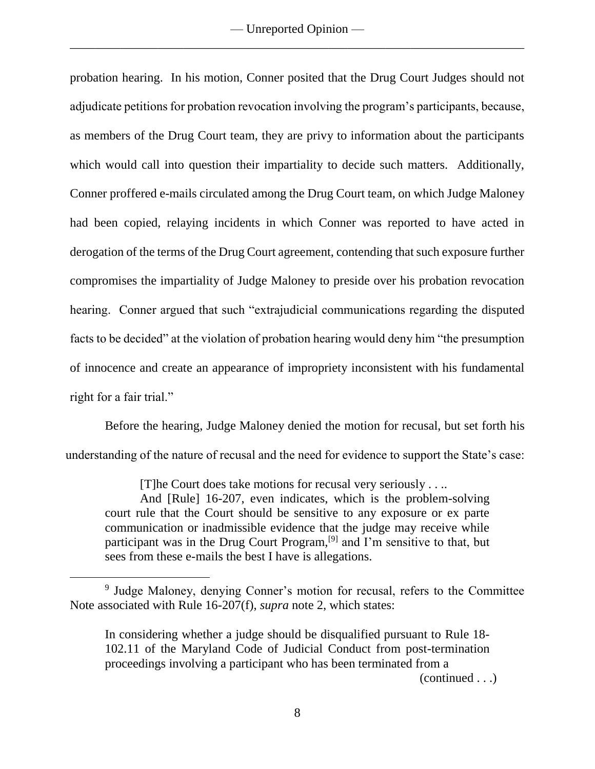probation hearing. In his motion, Conner posited that the Drug Court Judges should not adjudicate petitions for probation revocation involving the program's participants, because, as members of the Drug Court team, they are privy to information about the participants which would call into question their impartiality to decide such matters. Additionally, Conner proffered e-mails circulated among the Drug Court team, on which Judge Maloney had been copied, relaying incidents in which Conner was reported to have acted in derogation of the terms of the Drug Court agreement, contending that such exposure further compromises the impartiality of Judge Maloney to preside over his probation revocation hearing. Conner argued that such "extrajudicial communications regarding the disputed facts to be decided" at the violation of probation hearing would deny him "the presumption of innocence and create an appearance of impropriety inconsistent with his fundamental right for a fair trial."

Before the hearing, Judge Maloney denied the motion for recusal, but set forth his understanding of the nature of recusal and the need for evidence to support the State's case:

[T]he Court does take motions for recusal very seriously . . ..

And [Rule] 16-207, even indicates, which is the problem-solving court rule that the Court should be sensitive to any exposure or ex parte communication or inadmissible evidence that the judge may receive while participant was in the Drug Court Program,<sup>[9]</sup> and I'm sensitive to that, but sees from these e-mails the best I have is allegations.

 $\overline{a}$ 

(continued . . .)

<sup>&</sup>lt;sup>9</sup> Judge Maloney, denying Conner's motion for recusal, refers to the Committee Note associated with Rule 16-207(f), *supra* note 2, which states:

In considering whether a judge should be disqualified pursuant to Rule 18- 102.11 of the Maryland Code of Judicial Conduct from post-termination proceedings involving a participant who has been terminated from a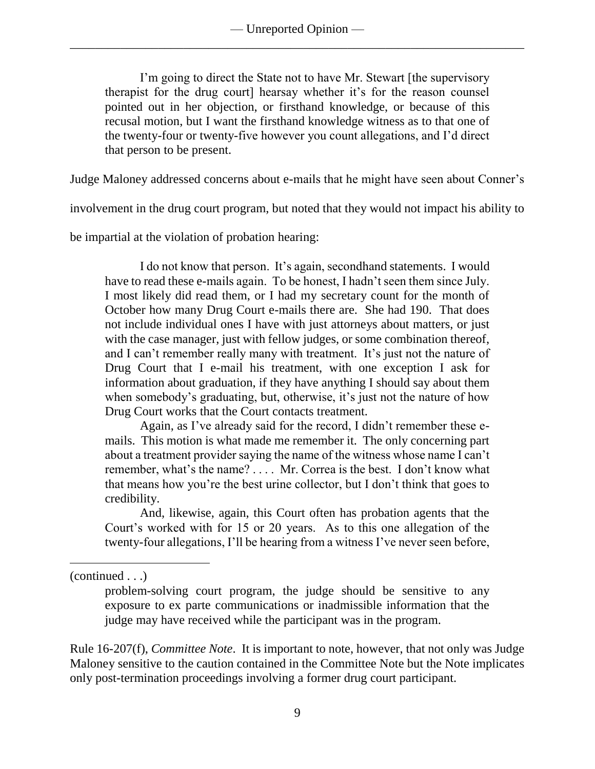I'm going to direct the State not to have Mr. Stewart [the supervisory therapist for the drug court] hearsay whether it's for the reason counsel pointed out in her objection, or firsthand knowledge, or because of this recusal motion, but I want the firsthand knowledge witness as to that one of the twenty-four or twenty-five however you count allegations, and I'd direct that person to be present.

Judge Maloney addressed concerns about e-mails that he might have seen about Conner's

involvement in the drug court program, but noted that they would not impact his ability to

be impartial at the violation of probation hearing:

I do not know that person. It's again, secondhand statements. I would have to read these e-mails again. To be honest, I hadn't seen them since July. I most likely did read them, or I had my secretary count for the month of October how many Drug Court e-mails there are. She had 190. That does not include individual ones I have with just attorneys about matters, or just with the case manager, just with fellow judges, or some combination thereof, and I can't remember really many with treatment. It's just not the nature of Drug Court that I e-mail his treatment, with one exception I ask for information about graduation, if they have anything I should say about them when somebody's graduating, but, otherwise, it's just not the nature of how Drug Court works that the Court contacts treatment.

Again, as I've already said for the record, I didn't remember these emails. This motion is what made me remember it. The only concerning part about a treatment provider saying the name of the witness whose name I can't remember, what's the name? . . . . Mr. Correa is the best. I don't know what that means how you're the best urine collector, but I don't think that goes to credibility.

And, likewise, again, this Court often has probation agents that the Court's worked with for 15 or 20 years. As to this one allegation of the twenty-four allegations, I'll be hearing from a witness I've never seen before,

 $\overline{a}$ 

Rule 16-207(f), *Committee Note*. It is important to note, however, that not only was Judge Maloney sensitive to the caution contained in the Committee Note but the Note implicates only post-termination proceedings involving a former drug court participant.

<sup>(</sup>continued . . .)

problem-solving court program, the judge should be sensitive to any exposure to ex parte communications or inadmissible information that the judge may have received while the participant was in the program.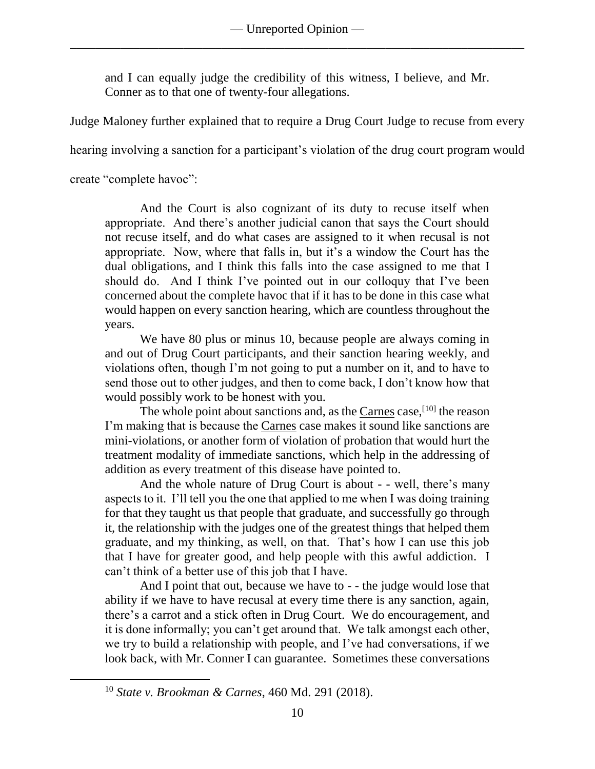and I can equally judge the credibility of this witness, I believe, and Mr. Conner as to that one of twenty-four allegations.

Judge Maloney further explained that to require a Drug Court Judge to recuse from every

hearing involving a sanction for a participant's violation of the drug court program would

create "complete havoc":

 $\overline{a}$ 

And the Court is also cognizant of its duty to recuse itself when appropriate. And there's another judicial canon that says the Court should not recuse itself, and do what cases are assigned to it when recusal is not appropriate. Now, where that falls in, but it's a window the Court has the dual obligations, and I think this falls into the case assigned to me that I should do. And I think I've pointed out in our colloquy that I've been concerned about the complete havoc that if it has to be done in this case what would happen on every sanction hearing, which are countless throughout the years.

We have 80 plus or minus 10, because people are always coming in and out of Drug Court participants, and their sanction hearing weekly, and violations often, though I'm not going to put a number on it, and to have to send those out to other judges, and then to come back, I don't know how that would possibly work to be honest with you.

The whole point about sanctions and, as the  $Carnes$  case,  $[10]$  the reason I'm making that is because the Carnes case makes it sound like sanctions are mini-violations, or another form of violation of probation that would hurt the treatment modality of immediate sanctions, which help in the addressing of addition as every treatment of this disease have pointed to.

And the whole nature of Drug Court is about - - well, there's many aspects to it. I'll tell you the one that applied to me when I was doing training for that they taught us that people that graduate, and successfully go through it, the relationship with the judges one of the greatest things that helped them graduate, and my thinking, as well, on that. That's how I can use this job that I have for greater good, and help people with this awful addiction. I can't think of a better use of this job that I have.

And I point that out, because we have to - - the judge would lose that ability if we have to have recusal at every time there is any sanction, again, there's a carrot and a stick often in Drug Court. We do encouragement, and it is done informally; you can't get around that. We talk amongst each other, we try to build a relationship with people, and I've had conversations, if we look back, with Mr. Conner I can guarantee. Sometimes these conversations

<sup>10</sup> *State v. Brookman & Carnes*, 460 Md. 291 (2018).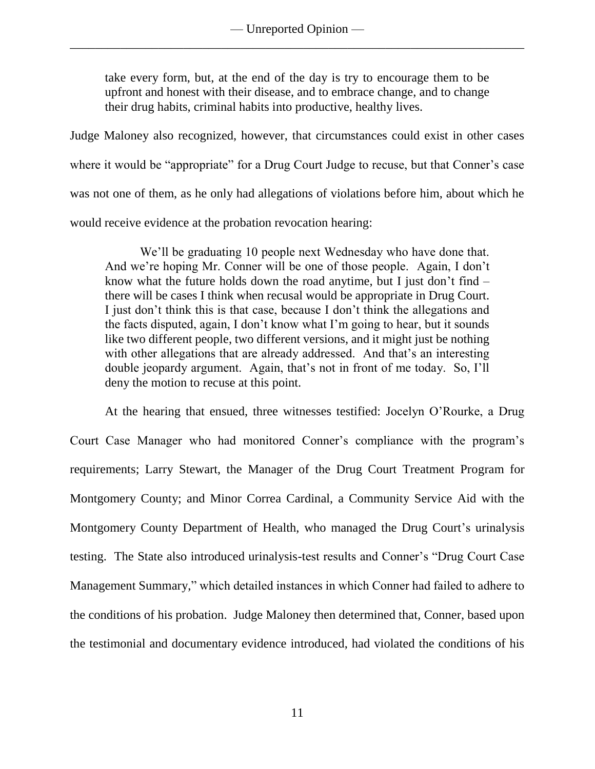take every form, but, at the end of the day is try to encourage them to be upfront and honest with their disease, and to embrace change, and to change their drug habits, criminal habits into productive, healthy lives.

Judge Maloney also recognized, however, that circumstances could exist in other cases where it would be "appropriate" for a Drug Court Judge to recuse, but that Conner's case was not one of them, as he only had allegations of violations before him, about which he would receive evidence at the probation revocation hearing:

We'll be graduating 10 people next Wednesday who have done that. And we're hoping Mr. Conner will be one of those people. Again, I don't know what the future holds down the road anytime, but I just don't find – there will be cases I think when recusal would be appropriate in Drug Court. I just don't think this is that case, because I don't think the allegations and the facts disputed, again, I don't know what I'm going to hear, but it sounds like two different people, two different versions, and it might just be nothing with other allegations that are already addressed. And that's an interesting double jeopardy argument. Again, that's not in front of me today. So, I'll deny the motion to recuse at this point.

At the hearing that ensued, three witnesses testified: Jocelyn O'Rourke, a Drug Court Case Manager who had monitored Conner's compliance with the program's requirements; Larry Stewart, the Manager of the Drug Court Treatment Program for Montgomery County; and Minor Correa Cardinal, a Community Service Aid with the Montgomery County Department of Health, who managed the Drug Court's urinalysis testing. The State also introduced urinalysis-test results and Conner's "Drug Court Case Management Summary," which detailed instances in which Conner had failed to adhere to the conditions of his probation. Judge Maloney then determined that, Conner, based upon the testimonial and documentary evidence introduced, had violated the conditions of his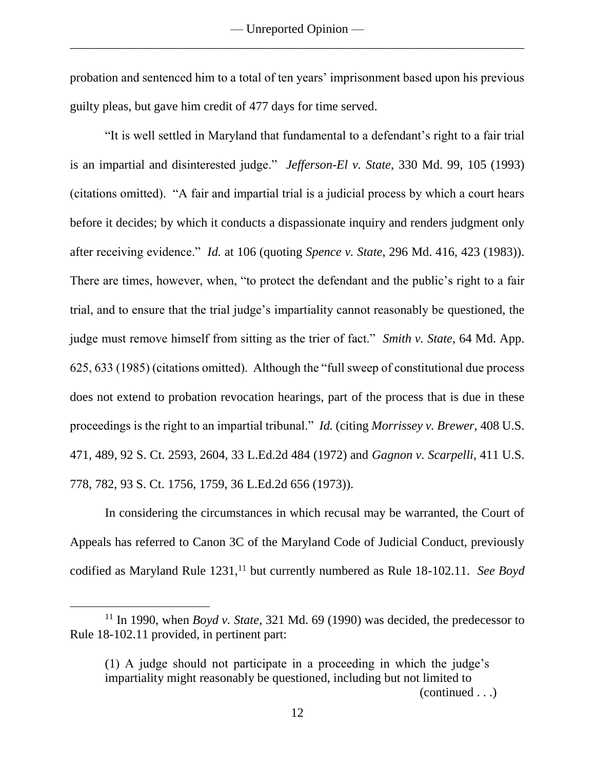probation and sentenced him to a total of ten years' imprisonment based upon his previous guilty pleas, but gave him credit of 477 days for time served.

"It is well settled in Maryland that fundamental to a defendant's right to a fair trial is an impartial and disinterested judge." *Jefferson-El v. State*, 330 Md. 99, 105 (1993) (citations omitted). "A fair and impartial trial is a judicial process by which a court hears before it decides; by which it conducts a dispassionate inquiry and renders judgment only after receiving evidence." *Id.* at 106 (quoting *Spence v. State*, 296 Md. 416, 423 (1983)). There are times, however, when, "to protect the defendant and the public's right to a fair trial, and to ensure that the trial judge's impartiality cannot reasonably be questioned, the judge must remove himself from sitting as the trier of fact." *Smith v. State*, 64 Md. App. 625, 633 (1985) (citations omitted). Although the "full sweep of constitutional due process does not extend to probation revocation hearings, part of the process that is due in these proceedings is the right to an impartial tribunal." *Id.* (citing *Morrissey v. Brewer*, 408 U.S. 471, 489, 92 S. Ct. 2593, 2604, 33 L.Ed.2d 484 (1972) and *Gagnon v. Scarpelli*, 411 U.S. 778, 782, 93 S. Ct. 1756, 1759, 36 L.Ed.2d 656 (1973)).

In considering the circumstances in which recusal may be warranted, the Court of Appeals has referred to Canon 3C of the Maryland Code of Judicial Conduct, previously codified as Maryland Rule 1231,<sup>11</sup> but currently numbered as Rule 18-102.11. *See Boyd* 

 $\overline{a}$ 

(continued . . .)

<sup>11</sup> In 1990, when *Boyd v. State*, 321 Md. 69 (1990) was decided, the predecessor to Rule 18-102.11 provided, in pertinent part:

<sup>(1)</sup> A judge should not participate in a proceeding in which the judge's impartiality might reasonably be questioned, including but not limited to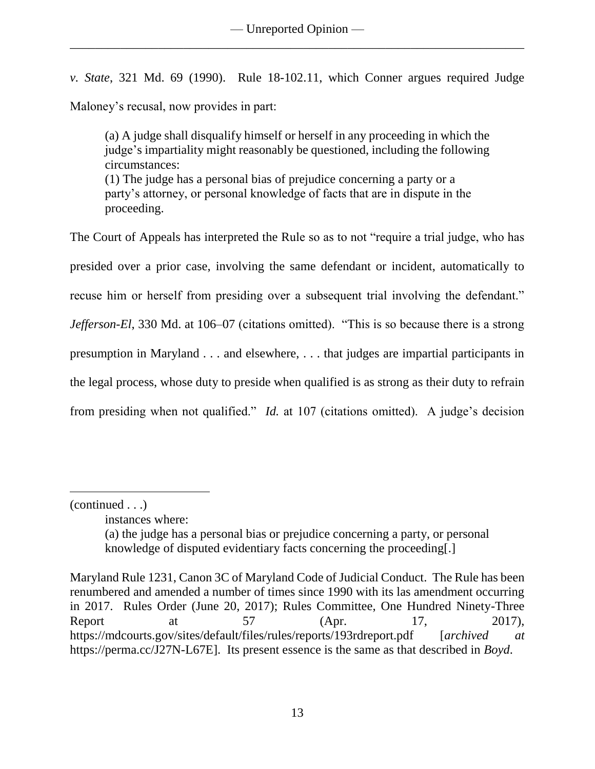*v. State*, 321 Md. 69 (1990). Rule 18-102.11, which Conner argues required Judge Maloney's recusal, now provides in part:

(a) A judge shall disqualify himself or herself in any proceeding in which the judge's impartiality might reasonably be questioned, including the following circumstances: (1) The judge has a personal bias of prejudice concerning a party or a party's attorney, or personal knowledge of facts that are in dispute in the proceeding.

The Court of Appeals has interpreted the Rule so as to not "require a trial judge, who has presided over a prior case, involving the same defendant or incident, automatically to recuse him or herself from presiding over a subsequent trial involving the defendant." *Jefferson-El*, 330 Md. at 106–07 (citations omitted). "This is so because there is a strong presumption in Maryland . . . and elsewhere, . . . that judges are impartial participants in the legal process, whose duty to preside when qualified is as strong as their duty to refrain from presiding when not qualified." *Id.* at 107 (citations omitted). A judge's decision

<sup>(</sup>continued . . .)

instances where:

<sup>(</sup>a) the judge has a personal bias or prejudice concerning a party, or personal knowledge of disputed evidentiary facts concerning the proceeding[.]

Maryland Rule 1231, Canon 3C of Maryland Code of Judicial Conduct. The Rule has been renumbered and amended a number of times since 1990 with its las amendment occurring in 2017. Rules Order (June 20, 2017); Rules Committee, One Hundred Ninety-Three Report at 57 (Apr. 17, 2017), https://mdcourts.gov/sites/default/files/rules/reports/193rdreport.pdf [*archived at*  https://perma.cc/J27N-L67E]. Its present essence is the same as that described in *Boyd*.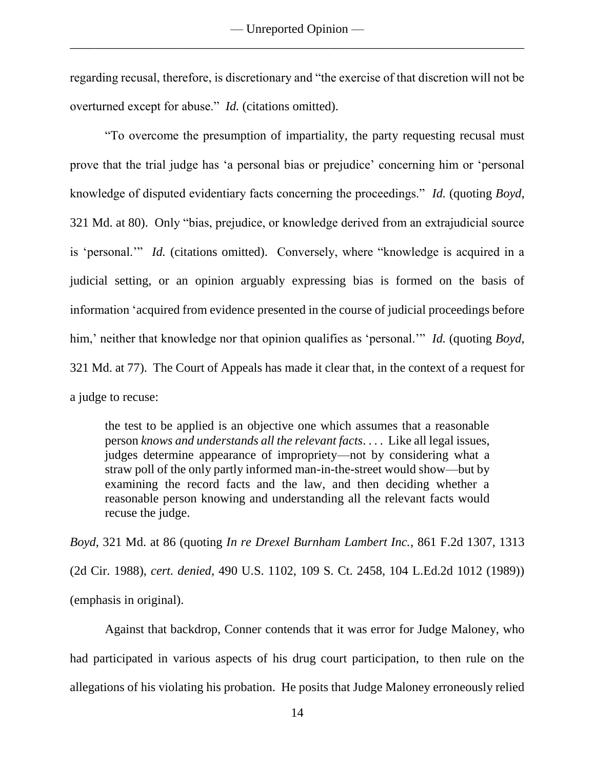regarding recusal, therefore, is discretionary and "the exercise of that discretion will not be overturned except for abuse." *Id.* (citations omitted).

"To overcome the presumption of impartiality, the party requesting recusal must prove that the trial judge has 'a personal bias or prejudice' concerning him or 'personal knowledge of disputed evidentiary facts concerning the proceedings." *Id.* (quoting *Boyd*, 321 Md. at 80). Only "bias, prejudice, or knowledge derived from an extrajudicial source is 'personal.'" *Id.* (citations omitted).Conversely, where "knowledge is acquired in a judicial setting, or an opinion arguably expressing bias is formed on the basis of information 'acquired from evidence presented in the course of judicial proceedings before him,' neither that knowledge nor that opinion qualifies as 'personal.'" *Id.* (quoting *Boyd*, 321 Md. at 77). The Court of Appeals has made it clear that, in the context of a request for a judge to recuse:

the test to be applied is an objective one which assumes that a reasonable person *knows and understands all the relevant facts*. . . . Like all legal issues, judges determine appearance of impropriety—not by considering what a straw poll of the only partly informed man-in-the-street would show—but by examining the record facts and the law, and then deciding whether a reasonable person knowing and understanding all the relevant facts would recuse the judge.

*Boyd*, 321 Md. at 86 (quoting *In re Drexel Burnham Lambert Inc.*, 861 F.2d 1307, 1313 (2d Cir. 1988), *cert. denied*, 490 U.S. 1102, 109 S. Ct. 2458, 104 L.Ed.2d 1012 (1989)) (emphasis in original).

Against that backdrop, Conner contends that it was error for Judge Maloney, who had participated in various aspects of his drug court participation, to then rule on the allegations of his violating his probation. He posits that Judge Maloney erroneously relied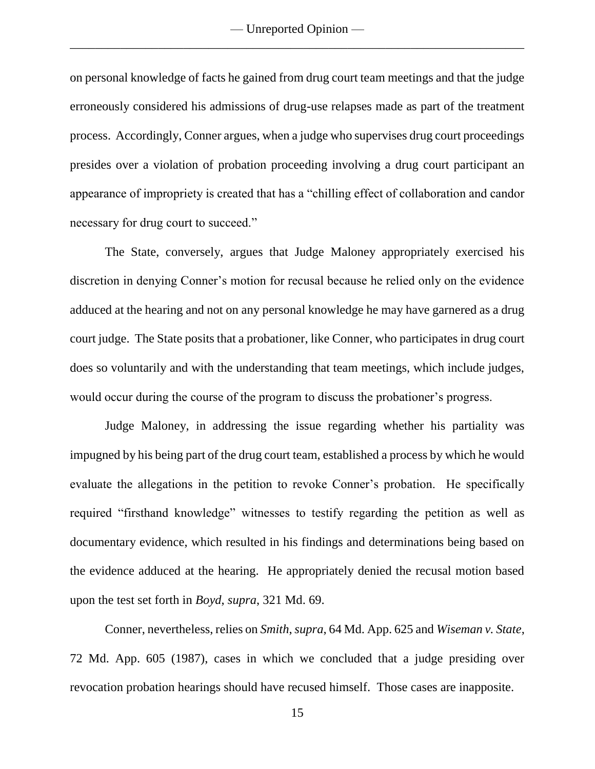on personal knowledge of facts he gained from drug court team meetings and that the judge erroneously considered his admissions of drug-use relapses made as part of the treatment process. Accordingly, Conner argues, when a judge who supervises drug court proceedings presides over a violation of probation proceeding involving a drug court participant an appearance of impropriety is created that has a "chilling effect of collaboration and candor necessary for drug court to succeed."

The State, conversely, argues that Judge Maloney appropriately exercised his discretion in denying Conner's motion for recusal because he relied only on the evidence adduced at the hearing and not on any personal knowledge he may have garnered as a drug court judge. The State posits that a probationer, like Conner, who participates in drug court does so voluntarily and with the understanding that team meetings, which include judges, would occur during the course of the program to discuss the probationer's progress.

Judge Maloney, in addressing the issue regarding whether his partiality was impugned by his being part of the drug court team, established a process by which he would evaluate the allegations in the petition to revoke Conner's probation. He specifically required "firsthand knowledge" witnesses to testify regarding the petition as well as documentary evidence, which resulted in his findings and determinations being based on the evidence adduced at the hearing. He appropriately denied the recusal motion based upon the test set forth in *Boyd*, *supra*, 321 Md. 69.

Conner, nevertheless, relies on *Smith*, *supra*, 64 Md. App. 625 and *Wiseman v. State*, 72 Md. App. 605 (1987), cases in which we concluded that a judge presiding over revocation probation hearings should have recused himself. Those cases are inapposite.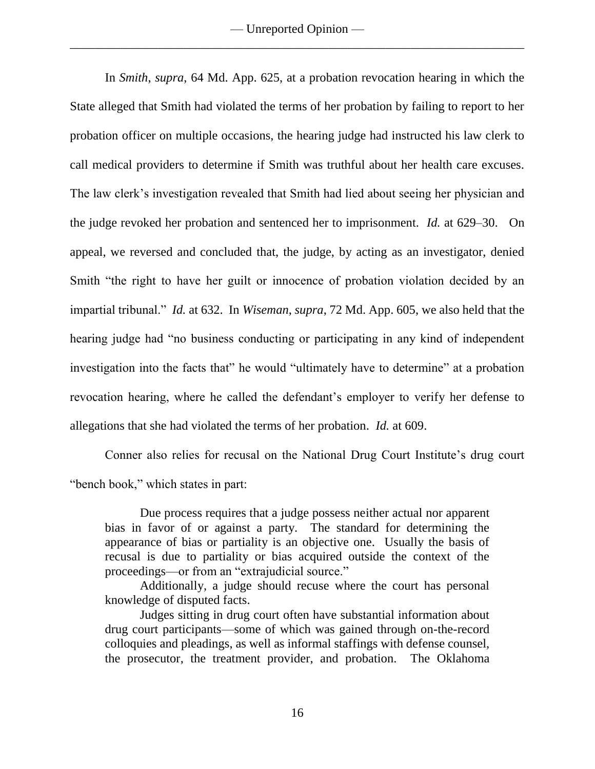In *Smith*, *supra*, 64 Md. App. 625, at a probation revocation hearing in which the State alleged that Smith had violated the terms of her probation by failing to report to her probation officer on multiple occasions, the hearing judge had instructed his law clerk to call medical providers to determine if Smith was truthful about her health care excuses. The law clerk's investigation revealed that Smith had lied about seeing her physician and the judge revoked her probation and sentenced her to imprisonment. *Id.* at 629–30. On appeal, we reversed and concluded that, the judge, by acting as an investigator, denied Smith "the right to have her guilt or innocence of probation violation decided by an impartial tribunal." *Id.* at 632. In *Wiseman*, *supra*, 72 Md. App. 605, we also held that the hearing judge had "no business conducting or participating in any kind of independent investigation into the facts that" he would "ultimately have to determine" at a probation revocation hearing, where he called the defendant's employer to verify her defense to allegations that she had violated the terms of her probation. *Id.* at 609.

Conner also relies for recusal on the National Drug Court Institute's drug court "bench book," which states in part:

Due process requires that a judge possess neither actual nor apparent bias in favor of or against a party. The standard for determining the appearance of bias or partiality is an objective one. Usually the basis of recusal is due to partiality or bias acquired outside the context of the proceedings—or from an "extrajudicial source."

Additionally, a judge should recuse where the court has personal knowledge of disputed facts.

Judges sitting in drug court often have substantial information about drug court participants—some of which was gained through on-the-record colloquies and pleadings, as well as informal staffings with defense counsel, the prosecutor, the treatment provider, and probation. The Oklahoma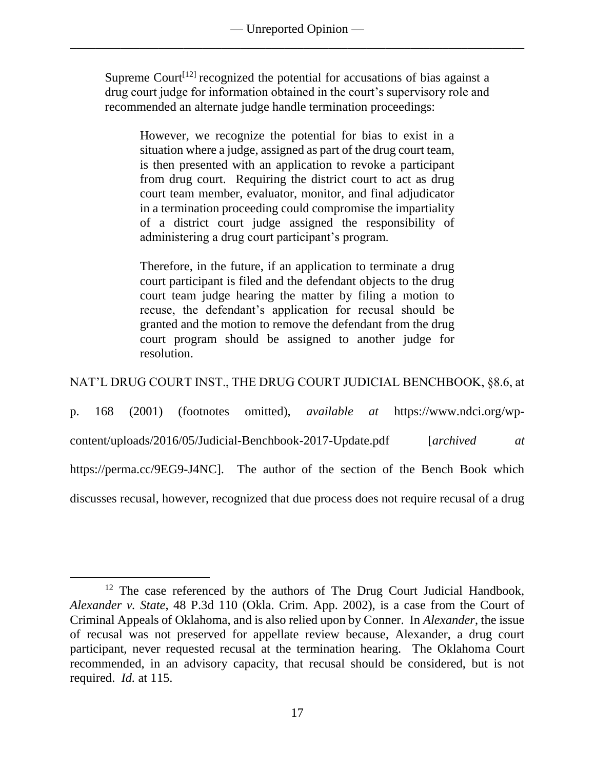Supreme Court<sup>[12]</sup> recognized the potential for accusations of bias against a drug court judge for information obtained in the court's supervisory role and recommended an alternate judge handle termination proceedings:

However, we recognize the potential for bias to exist in a situation where a judge, assigned as part of the drug court team, is then presented with an application to revoke a participant from drug court. Requiring the district court to act as drug court team member, evaluator, monitor, and final adjudicator in a termination proceeding could compromise the impartiality of a district court judge assigned the responsibility of administering a drug court participant's program.

Therefore, in the future, if an application to terminate a drug court participant is filed and the defendant objects to the drug court team judge hearing the matter by filing a motion to recuse, the defendant's application for recusal should be granted and the motion to remove the defendant from the drug court program should be assigned to another judge for resolution.

NAT'L DRUG COURT INST., THE DRUG COURT JUDICIAL BENCHBOOK, §8.6, at

p. 168 (2001) (footnotes omitted), *available at* https://www.ndci.org/wp-

content/uploads/2016/05/Judicial-Benchbook-2017-Update.pdf [*archived at* 

https://perma.cc/9EG9-J4NC]. The author of the section of the Bench Book which

discusses recusal, however, recognized that due process does not require recusal of a drug

<sup>&</sup>lt;sup>12</sup> The case referenced by the authors of The Drug Court Judicial Handbook, *Alexander v. State*, 48 P.3d 110 (Okla. Crim. App. 2002), is a case from the Court of Criminal Appeals of Oklahoma, and is also relied upon by Conner. In *Alexander*, the issue of recusal was not preserved for appellate review because, Alexander, a drug court participant, never requested recusal at the termination hearing. The Oklahoma Court recommended, in an advisory capacity, that recusal should be considered, but is not required. *Id.* at 115.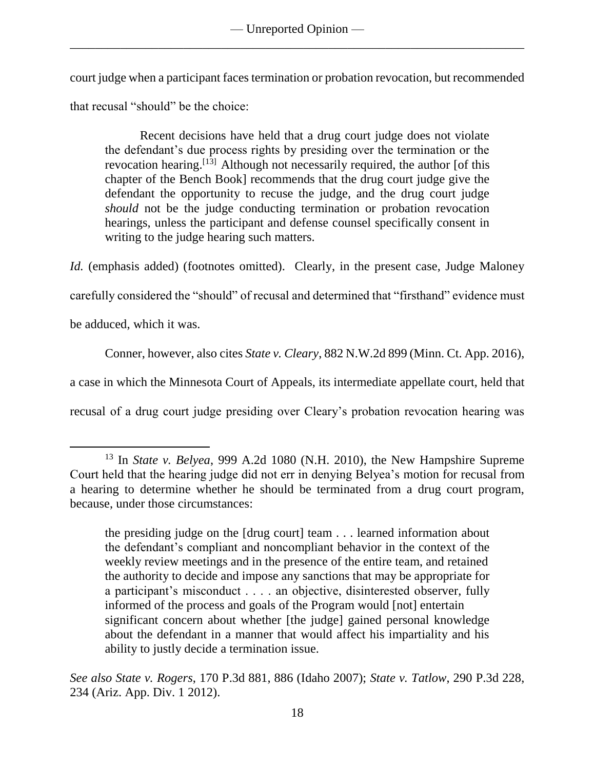court judge when a participant faces termination or probation revocation, but recommended that recusal "should" be the choice:

Recent decisions have held that a drug court judge does not violate the defendant's due process rights by presiding over the termination or the revocation hearing.<sup>[13]</sup> Although not necessarily required, the author [of this chapter of the Bench Book] recommends that the drug court judge give the defendant the opportunity to recuse the judge, and the drug court judge *should* not be the judge conducting termination or probation revocation hearings, unless the participant and defense counsel specifically consent in writing to the judge hearing such matters.

*Id.* (emphasis added) (footnotes omitted). Clearly, in the present case, Judge Maloney

carefully considered the "should" of recusal and determined that "firsthand" evidence must

be adduced, which it was.

 $\overline{a}$ 

Conner, however, also cites *State v. Cleary*, 882 N.W.2d 899 (Minn. Ct. App. 2016),

a case in which the Minnesota Court of Appeals, its intermediate appellate court, held that

recusal of a drug court judge presiding over Cleary's probation revocation hearing was

<sup>13</sup> In *State v. Belyea*, 999 A.2d 1080 (N.H. 2010), the New Hampshire Supreme Court held that the hearing judge did not err in denying Belyea's motion for recusal from a hearing to determine whether he should be terminated from a drug court program, because, under those circumstances:

the presiding judge on the [drug court] team . . . learned information about the defendant's compliant and noncompliant behavior in the context of the weekly review meetings and in the presence of the entire team, and retained the authority to decide and impose any sanctions that may be appropriate for a participant's misconduct . . . . an objective, disinterested observer, fully informed of the process and goals of the Program would [not] entertain significant concern about whether [the judge] gained personal knowledge about the defendant in a manner that would affect his impartiality and his ability to justly decide a termination issue.

*See also State v. Rogers*, 170 P.3d 881, 886 (Idaho 2007); *State v. Tatlow*, 290 P.3d 228, 234 (Ariz. App. Div. 1 2012).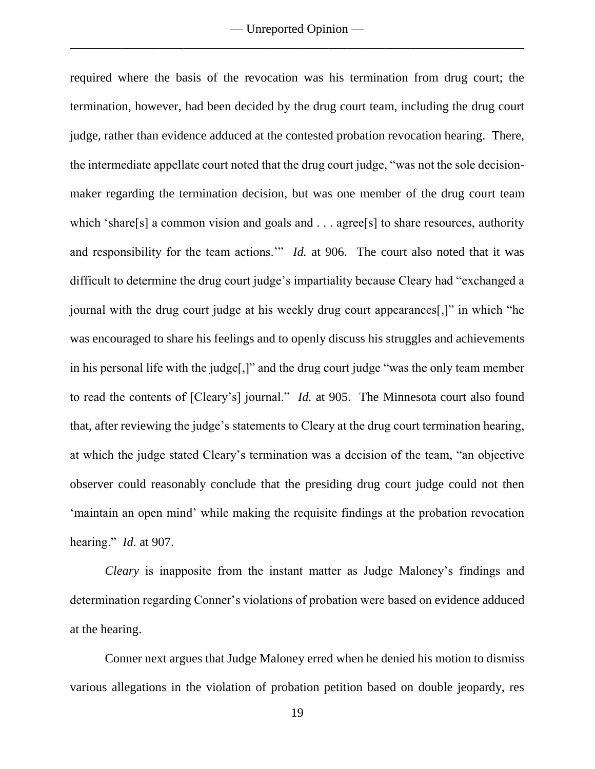required where the basis of the revocation was his termination from drug court; the termination, however, had been decided by the drug court team, including the drug court judge, rather than evidence adduced at the contested probation revocation hearing. There, the intermediate appellate court noted that the drug court judge, "was not the sole decisionmaker regarding the termination decision, but was one member of the drug court team which 'share[s] a common vision and goals and . . . agree[s] to share resources, authority and responsibility for the team actions.'" *Id.* at 906. The court also noted that it was difficult to determine the drug court judge's impartiality because Cleary had "exchanged a journal with the drug court judge at his weekly drug court appearances[,]" in which "he was encouraged to share his feelings and to openly discuss his struggles and achievements in his personal life with the judge[,]" and the drug court judge "was the only team member to read the contents of [Cleary's] journal." *Id.* at 905. The Minnesota court also found that, after reviewing the judge's statements to Cleary at the drug court termination hearing, at which the judge stated Cleary's termination was a decision of the team, "an objective observer could reasonably conclude that the presiding drug court judge could not then 'maintain an open mind' while making the requisite findings at the probation revocation hearing." *Id.* at 907.

*Cleary* is inapposite from the instant matter as Judge Maloney's findings and determination regarding Conner's violations of probation were based on evidence adduced at the hearing.

Conner next argues that Judge Maloney erred when he denied his motion to dismiss various allegations in the violation of probation petition based on double jeopardy, res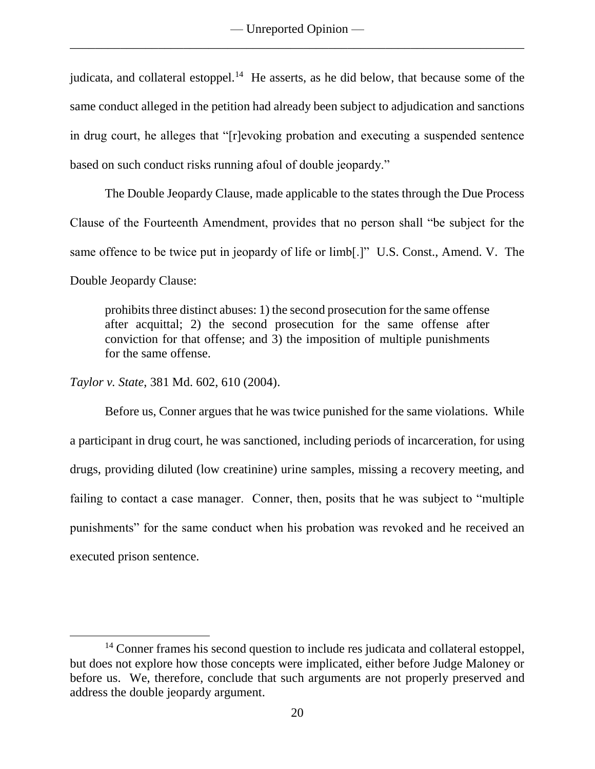judicata, and collateral estoppel.<sup>14</sup> He asserts, as he did below, that because some of the same conduct alleged in the petition had already been subject to adjudication and sanctions in drug court, he alleges that "[r]evoking probation and executing a suspended sentence based on such conduct risks running afoul of double jeopardy."

The Double Jeopardy Clause, made applicable to the states through the Due Process Clause of the Fourteenth Amendment, provides that no person shall "be subject for the same offence to be twice put in jeopardy of life or limb[.]" U.S. Const., Amend. V. The Double Jeopardy Clause:

prohibits three distinct abuses: 1) the second prosecution for the same offense after acquittal; 2) the second prosecution for the same offense after conviction for that offense; and  $\overline{3}$ ) the imposition of multiple punishments for the same offense.

*Taylor v. State*, 381 Md. 602, 610 (2004).

 $\overline{a}$ 

Before us, Conner argues that he was twice punished for the same violations. While a participant in drug court, he was sanctioned, including periods of incarceration, for using drugs, providing diluted (low creatinine) urine samples, missing a recovery meeting, and failing to contact a case manager. Conner, then, posits that he was subject to "multiple punishments" for the same conduct when his probation was revoked and he received an executed prison sentence.

<sup>&</sup>lt;sup>14</sup> Conner frames his second question to include res judicata and collateral estoppel, but does not explore how those concepts were implicated, either before Judge Maloney or before us. We, therefore, conclude that such arguments are not properly preserved and address the double jeopardy argument.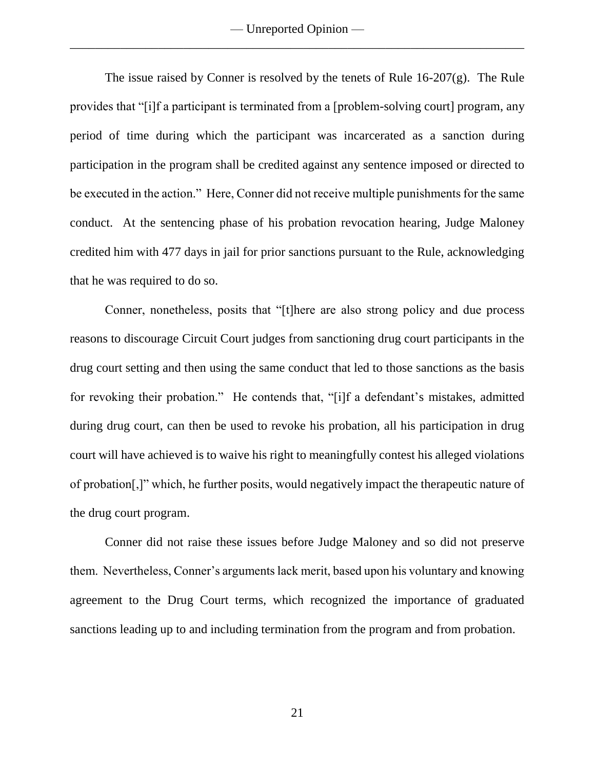The issue raised by Conner is resolved by the tenets of Rule 16-207(g). The Rule provides that "[i]f a participant is terminated from a [problem-solving court] program, any period of time during which the participant was incarcerated as a sanction during participation in the program shall be credited against any sentence imposed or directed to be executed in the action." Here, Conner did not receive multiple punishments for the same conduct. At the sentencing phase of his probation revocation hearing, Judge Maloney credited him with 477 days in jail for prior sanctions pursuant to the Rule, acknowledging that he was required to do so.

Conner, nonetheless, posits that "[t]here are also strong policy and due process reasons to discourage Circuit Court judges from sanctioning drug court participants in the drug court setting and then using the same conduct that led to those sanctions as the basis for revoking their probation." He contends that, "[i]f a defendant's mistakes, admitted during drug court, can then be used to revoke his probation, all his participation in drug court will have achieved is to waive his right to meaningfully contest his alleged violations of probation[,]" which, he further posits, would negatively impact the therapeutic nature of the drug court program.

Conner did not raise these issues before Judge Maloney and so did not preserve them. Nevertheless, Conner's arguments lack merit, based upon his voluntary and knowing agreement to the Drug Court terms, which recognized the importance of graduated sanctions leading up to and including termination from the program and from probation.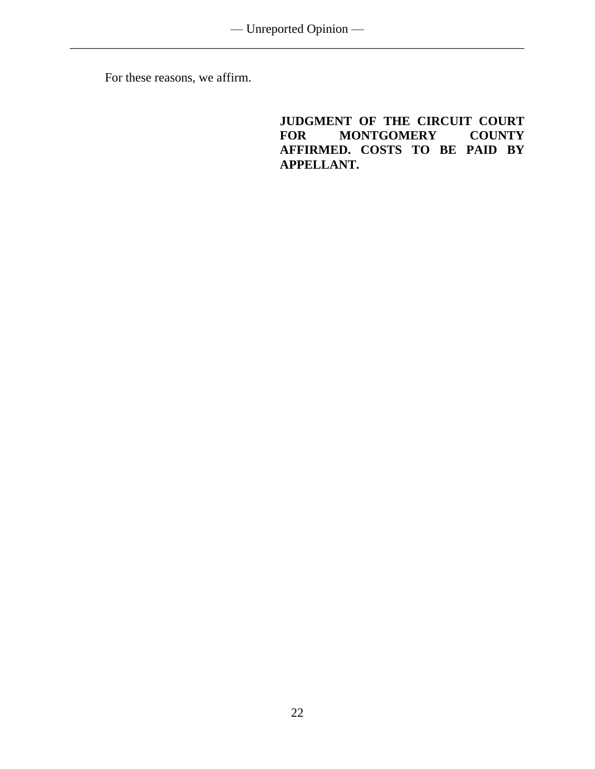For these reasons, we affirm.

**JUDGMENT OF THE CIRCUIT COURT MONTGOMERY AFFIRMED. COSTS TO BE PAID BY APPELLANT.**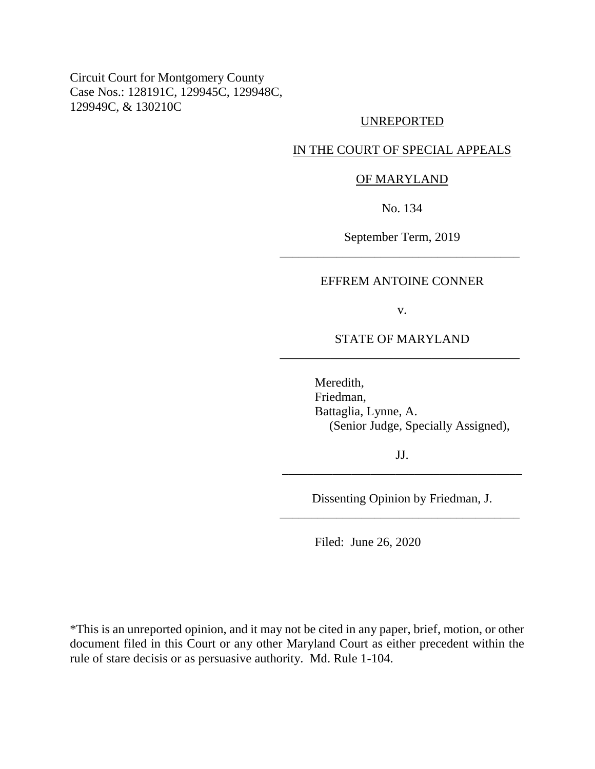Circuit Court for Montgomery County Case Nos.: 128191C, 129945C, 129948C, 129949C, & 130210C

### UNREPORTED

# IN THE COURT OF SPECIAL APPEALS

#### OF MARYLAND

No. 134

September Term, 2019 \_\_\_\_\_\_\_\_\_\_\_\_\_\_\_\_\_\_\_\_\_\_\_\_\_\_\_\_\_\_\_\_\_\_\_\_\_\_

### EFFREM ANTOINE CONNER

v.

STATE OF MARYLAND \_\_\_\_\_\_\_\_\_\_\_\_\_\_\_\_\_\_\_\_\_\_\_\_\_\_\_\_\_\_\_\_\_\_\_\_\_\_

> Meredith, Friedman, Battaglia, Lynne, A. (Senior Judge, Specially Assigned),

JJ. \_\_\_\_\_\_\_\_\_\_\_\_\_\_\_\_\_\_\_\_\_\_\_\_\_\_\_\_\_\_\_\_\_\_\_\_\_\_

Dissenting Opinion by Friedman, J. \_\_\_\_\_\_\_\_\_\_\_\_\_\_\_\_\_\_\_\_\_\_\_\_\_\_\_\_\_\_\_\_\_\_\_\_\_\_

Filed: June 26, 2020

\*This is an unreported opinion, and it may not be cited in any paper, brief, motion, or other document filed in this Court or any other Maryland Court as either precedent within the rule of stare decisis or as persuasive authority. Md. Rule 1-104.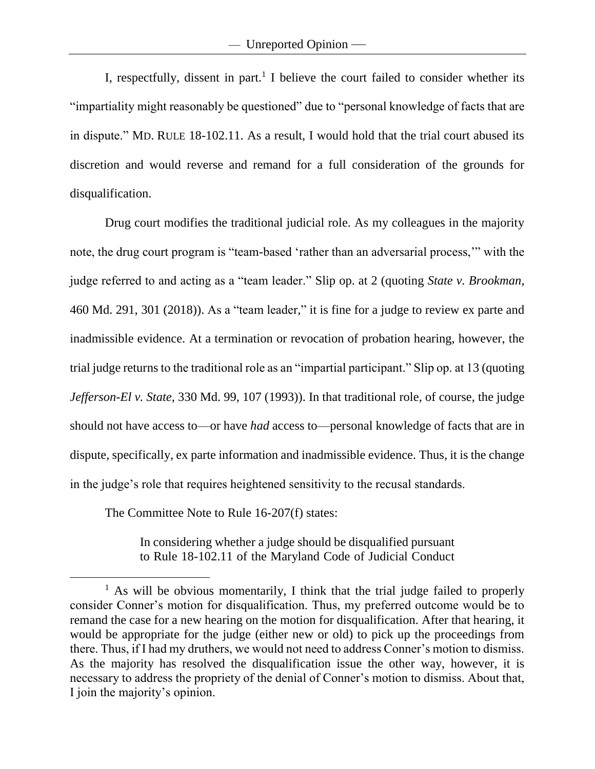I, respectfully, dissent in part. 1 I believe the court failed to consider whether its "impartiality might reasonably be questioned" due to "personal knowledge of facts that are in dispute." MD. RULE 18-102.11. As a result, I would hold that the trial court abused its discretion and would reverse and remand for a full consideration of the grounds for disqualification.

Drug court modifies the traditional judicial role. As my colleagues in the majority note, the drug court program is "team-based 'rather than an adversarial process,'" with the judge referred to and acting as a "team leader." Slip op. at 2 (quoting *State v. Brookman*, 460 Md. 291, 301 (2018)). As a "team leader," it is fine for a judge to review ex parte and inadmissible evidence. At a termination or revocation of probation hearing, however, the trial judge returns to the traditional role as an "impartial participant." Slip op. at 13 (quoting *Jefferson-El v. State*, 330 Md. 99, 107 (1993)). In that traditional role, of course, the judge should not have access to—or have *had* access to—personal knowledge of facts that are in dispute, specifically, ex parte information and inadmissible evidence. Thus, it is the change in the judge's role that requires heightened sensitivity to the recusal standards.

The Committee Note to Rule 16-207(f) states:

 $\overline{a}$ 

In considering whether a judge should be disqualified pursuant to Rule 18-102.11 of the Maryland Code of Judicial Conduct

<sup>&</sup>lt;sup>1</sup> As will be obvious momentarily, I think that the trial judge failed to properly consider Conner's motion for disqualification. Thus, my preferred outcome would be to remand the case for a new hearing on the motion for disqualification. After that hearing, it would be appropriate for the judge (either new or old) to pick up the proceedings from there. Thus, if I had my druthers, we would not need to address Conner's motion to dismiss. As the majority has resolved the disqualification issue the other way, however, it is necessary to address the propriety of the denial of Conner's motion to dismiss. About that, I join the majority's opinion.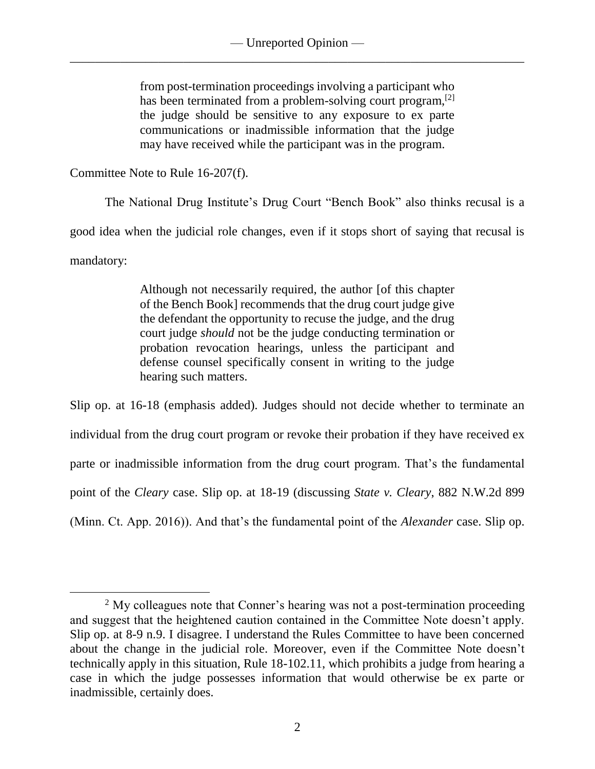from post-termination proceedings involving a participant who has been terminated from a problem-solving court program,<sup>[2]</sup> the judge should be sensitive to any exposure to ex parte communications or inadmissible information that the judge may have received while the participant was in the program.

Committee Note to Rule 16-207(f).

The National Drug Institute's Drug Court "Bench Book" also thinks recusal is a

good idea when the judicial role changes, even if it stops short of saying that recusal is

mandatory:

 $\overline{a}$ 

Although not necessarily required, the author [of this chapter of the Bench Book] recommends that the drug court judge give the defendant the opportunity to recuse the judge, and the drug court judge *should* not be the judge conducting termination or probation revocation hearings, unless the participant and defense counsel specifically consent in writing to the judge hearing such matters.

Slip op. at 16-18 (emphasis added). Judges should not decide whether to terminate an individual from the drug court program or revoke their probation if they have received ex parte or inadmissible information from the drug court program. That's the fundamental point of the *Cleary* case. Slip op. at 18-19 (discussing *State v. Cleary*, 882 N.W.2d 899 (Minn. Ct. App. 2016)). And that's the fundamental point of the *Alexander* case. Slip op.

 $2$  My colleagues note that Conner's hearing was not a post-termination proceeding and suggest that the heightened caution contained in the Committee Note doesn't apply. Slip op. at 8-9 n.9. I disagree. I understand the Rules Committee to have been concerned about the change in the judicial role. Moreover, even if the Committee Note doesn't technically apply in this situation, Rule 18-102.11, which prohibits a judge from hearing a case in which the judge possesses information that would otherwise be ex parte or inadmissible, certainly does.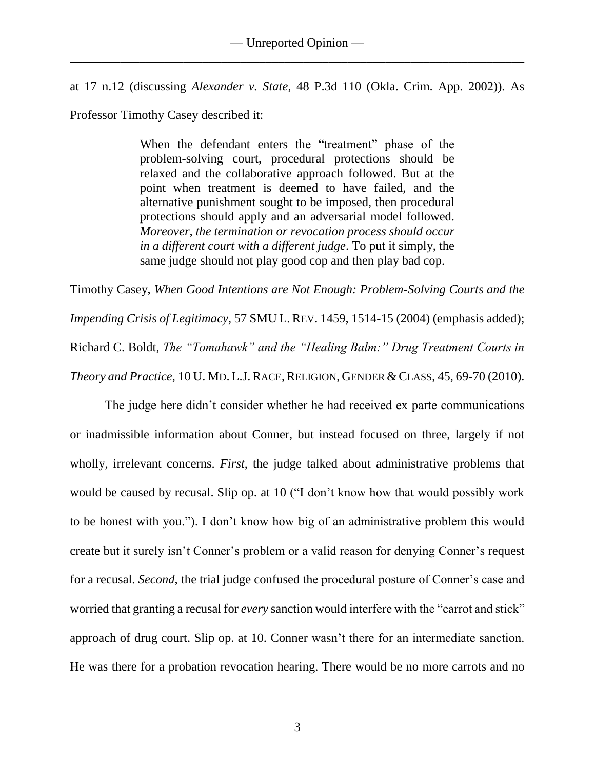at 17 n.12 (discussing *Alexander v. State*, 48 P.3d 110 (Okla. Crim. App. 2002)). As Professor Timothy Casey described it:

> When the defendant enters the "treatment" phase of the problem-solving court, procedural protections should be relaxed and the collaborative approach followed. But at the point when treatment is deemed to have failed, and the alternative punishment sought to be imposed, then procedural protections should apply and an adversarial model followed. *Moreover, the termination or revocation process should occur in a different court with a different judge*. To put it simply, the same judge should not play good cop and then play bad cop.

Timothy Casey, *When Good Intentions are Not Enough: Problem-Solving Courts and the Impending Crisis of Legitimacy*, 57 SMU L. REV. 1459, 1514-15 (2004) (emphasis added); Richard C. Boldt, *The "Tomahawk" and the "Healing Balm:" Drug Treatment Courts in Theory and Practice*, 10 U. MD. L.J. RACE, RELIGION, GENDER & CLASS, 45, 69-70 (2010).

The judge here didn't consider whether he had received ex parte communications or inadmissible information about Conner, but instead focused on three, largely if not wholly, irrelevant concerns. *First*, the judge talked about administrative problems that would be caused by recusal. Slip op. at 10 ("I don't know how that would possibly work to be honest with you."). I don't know how big of an administrative problem this would create but it surely isn't Conner's problem or a valid reason for denying Conner's request for a recusal. *Second*, the trial judge confused the procedural posture of Conner's case and worried that granting a recusal for *every* sanction would interfere with the "carrot and stick" approach of drug court. Slip op. at 10. Conner wasn't there for an intermediate sanction. He was there for a probation revocation hearing. There would be no more carrots and no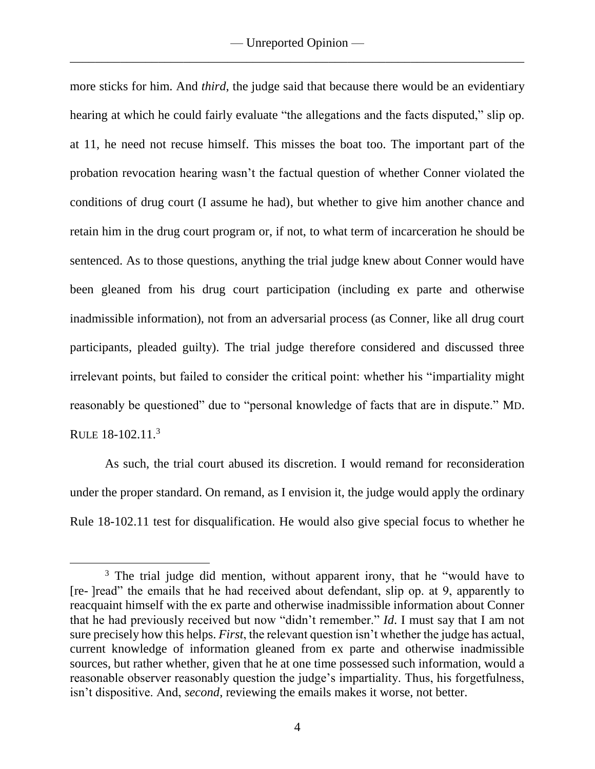more sticks for him. And *third*, the judge said that because there would be an evidentiary hearing at which he could fairly evaluate "the allegations and the facts disputed," slip op. at 11, he need not recuse himself. This misses the boat too. The important part of the probation revocation hearing wasn't the factual question of whether Conner violated the conditions of drug court (I assume he had), but whether to give him another chance and retain him in the drug court program or, if not, to what term of incarceration he should be sentenced. As to those questions, anything the trial judge knew about Conner would have been gleaned from his drug court participation (including ex parte and otherwise inadmissible information), not from an adversarial process (as Conner, like all drug court participants, pleaded guilty). The trial judge therefore considered and discussed three irrelevant points, but failed to consider the critical point: whether his "impartiality might reasonably be questioned" due to "personal knowledge of facts that are in dispute." MD. RULE 18-102.11.<sup>3</sup>

As such, the trial court abused its discretion. I would remand for reconsideration under the proper standard. On remand, as I envision it, the judge would apply the ordinary Rule 18-102.11 test for disqualification. He would also give special focus to whether he

<sup>&</sup>lt;sup>3</sup> The trial judge did mention, without apparent irony, that he "would have to [re- ]read" the emails that he had received about defendant, slip op. at 9, apparently to reacquaint himself with the ex parte and otherwise inadmissible information about Conner that he had previously received but now "didn't remember." *Id*. I must say that I am not sure precisely how this helps. *First*, the relevant question isn't whether the judge has actual, current knowledge of information gleaned from ex parte and otherwise inadmissible sources, but rather whether, given that he at one time possessed such information, would a reasonable observer reasonably question the judge's impartiality. Thus, his forgetfulness, isn't dispositive. And, *second*, reviewing the emails makes it worse, not better.